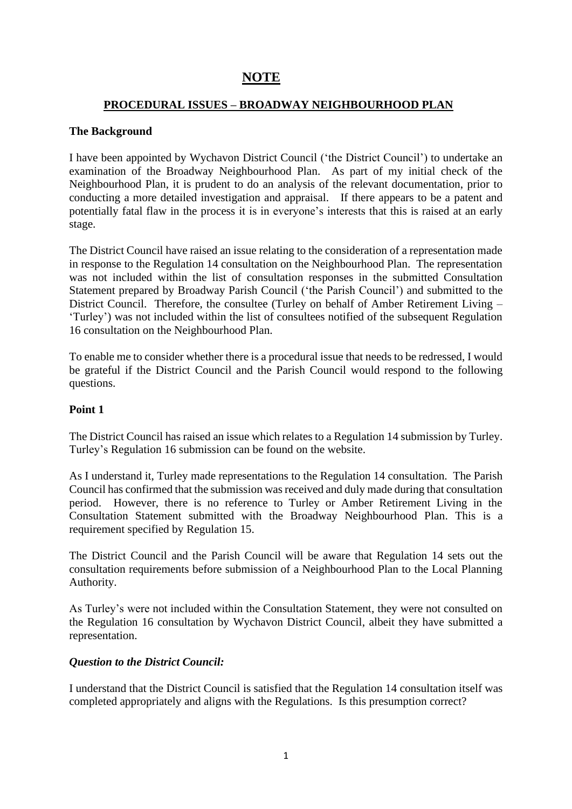# **NOTE**

# **PROCEDURAL ISSUES – BROADWAY NEIGHBOURHOOD PLAN**

# **The Background**

I have been appointed by Wychavon District Council ('the District Council') to undertake an examination of the Broadway Neighbourhood Plan. As part of my initial check of the Neighbourhood Plan, it is prudent to do an analysis of the relevant documentation, prior to conducting a more detailed investigation and appraisal. If there appears to be a patent and potentially fatal flaw in the process it is in everyone's interests that this is raised at an early stage.

The District Council have raised an issue relating to the consideration of a representation made in response to the Regulation 14 consultation on the Neighbourhood Plan. The representation was not included within the list of consultation responses in the submitted Consultation Statement prepared by Broadway Parish Council ('the Parish Council') and submitted to the District Council. Therefore, the consultee (Turley on behalf of Amber Retirement Living – 'Turley') was not included within the list of consultees notified of the subsequent Regulation 16 consultation on the Neighbourhood Plan.

To enable me to consider whether there is a procedural issue that needs to be redressed, I would be grateful if the District Council and the Parish Council would respond to the following questions.

#### **Point 1**

The District Council has raised an issue which relates to a Regulation 14 submission by Turley. Turley's Regulation 16 submission can be found on the website.

As I understand it, Turley made representations to the Regulation 14 consultation. The Parish Council has confirmed that the submission was received and duly made during that consultation period. However, there is no reference to Turley or Amber Retirement Living in the Consultation Statement submitted with the Broadway Neighbourhood Plan. This is a requirement specified by Regulation 15.

The District Council and the Parish Council will be aware that Regulation 14 sets out the consultation requirements before submission of a Neighbourhood Plan to the Local Planning Authority.

As Turley's were not included within the Consultation Statement, they were not consulted on the Regulation 16 consultation by Wychavon District Council, albeit they have submitted a representation.

#### *Question to the District Council:*

I understand that the District Council is satisfied that the Regulation 14 consultation itself was completed appropriately and aligns with the Regulations. Is this presumption correct?